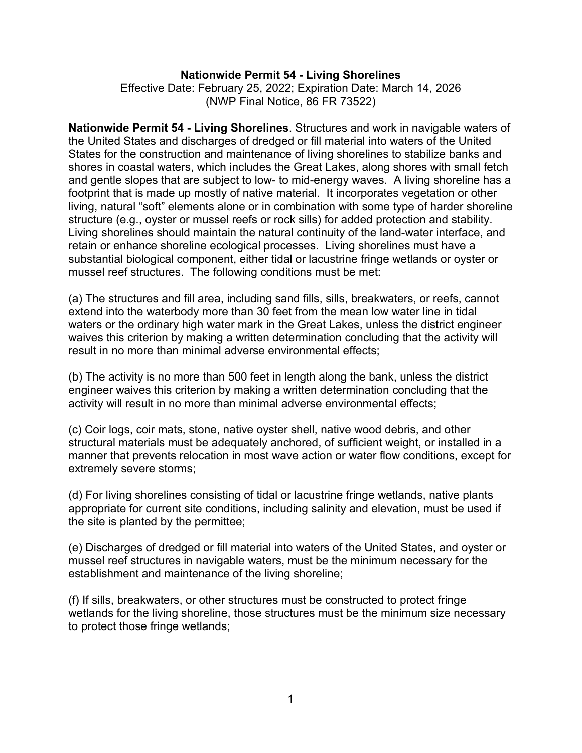#### **Nationwide Permit 54 - Living Shorelines**

Effective Date: February 25, 2022; Expiration Date: March 14, 2026 (NWP Final Notice, 86 FR 73522)

**Nationwide Permit 54 - Living Shorelines**. Structures and work in navigable waters of the United States and discharges of dredged or fill material into waters of the United States for the construction and maintenance of living shorelines to stabilize banks and shores in coastal waters, which includes the Great Lakes, along shores with small fetch and gentle slopes that are subject to low- to mid-energy waves. A living shoreline has a footprint that is made up mostly of native material. It incorporates vegetation or other living, natural "soft" elements alone or in combination with some type of harder shoreline structure (e.g., oyster or mussel reefs or rock sills) for added protection and stability. Living shorelines should maintain the natural continuity of the land-water interface, and retain or enhance shoreline ecological processes. Living shorelines must have a substantial biological component, either tidal or lacustrine fringe wetlands or oyster or mussel reef structures. The following conditions must be met:

(a) The structures and fill area, including sand fills, sills, breakwaters, or reefs, cannot extend into the waterbody more than 30 feet from the mean low water line in tidal waters or the ordinary high water mark in the Great Lakes, unless the district engineer waives this criterion by making a written determination concluding that the activity will result in no more than minimal adverse environmental effects;

(b) The activity is no more than 500 feet in length along the bank, unless the district engineer waives this criterion by making a written determination concluding that the activity will result in no more than minimal adverse environmental effects;

(c) Coir logs, coir mats, stone, native oyster shell, native wood debris, and other structural materials must be adequately anchored, of sufficient weight, or installed in a manner that prevents relocation in most wave action or water flow conditions, except for extremely severe storms;

(d) For living shorelines consisting of tidal or lacustrine fringe wetlands, native plants appropriate for current site conditions, including salinity and elevation, must be used if the site is planted by the permittee;

(e) Discharges of dredged or fill material into waters of the United States, and oyster or mussel reef structures in navigable waters, must be the minimum necessary for the establishment and maintenance of the living shoreline;

(f) If sills, breakwaters, or other structures must be constructed to protect fringe wetlands for the living shoreline, those structures must be the minimum size necessary to protect those fringe wetlands;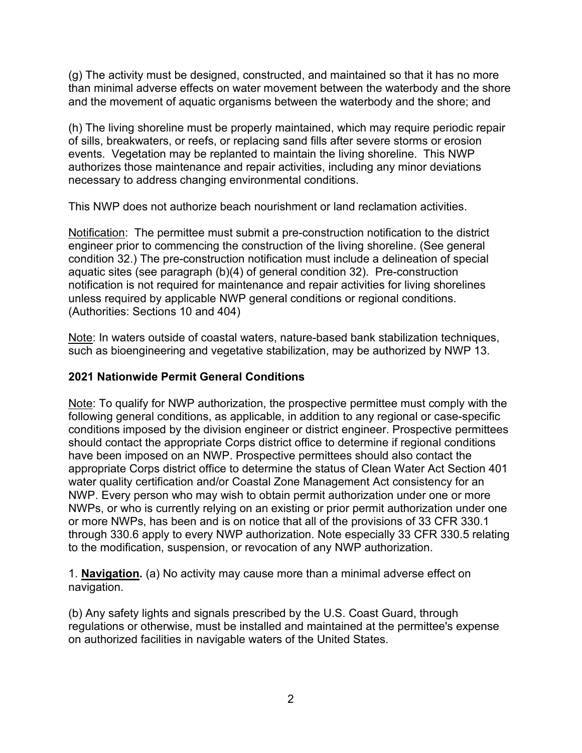(g) The activity must be designed, constructed, and maintained so that it has no more than minimal adverse effects on water movement between the waterbody and the shore and the movement of aquatic organisms between the waterbody and the shore; and

(h) The living shoreline must be properly maintained, which may require periodic repair of sills, breakwaters, or reefs, or replacing sand fills after severe storms or erosion events. Vegetation may be replanted to maintain the living shoreline. This NWP authorizes those maintenance and repair activities, including any minor deviations necessary to address changing environmental conditions.

This NWP does not authorize beach nourishment or land reclamation activities.

Notification: The permittee must submit a pre-construction notification to the district engineer prior to commencing the construction of the living shoreline. (See general condition 32.) The pre-construction notification must include a delineation of special aquatic sites (see paragraph (b)(4) of general condition 32). Pre-construction notification is not required for maintenance and repair activities for living shorelines unless required by applicable NWP general conditions or regional conditions. (Authorities: Sections 10 and 404)

Note: In waters outside of coastal waters, nature-based bank stabilization techniques, such as bioengineering and vegetative stabilization, may be authorized by NWP 13.

## **2021 Nationwide Permit General Conditions**

Note: To qualify for NWP authorization, the prospective permittee must comply with the following general conditions, as applicable, in addition to any regional or case-specific conditions imposed by the division engineer or district engineer. Prospective permittees should contact the appropriate Corps district office to determine if regional conditions have been imposed on an NWP. Prospective permittees should also contact the appropriate Corps district office to determine the status of Clean Water Act Section 401 water quality certification and/or Coastal Zone Management Act consistency for an NWP. Every person who may wish to obtain permit authorization under one or more NWPs, or who is currently relying on an existing or prior permit authorization under one or more NWPs, has been and is on notice that all of the provisions of 33 CFR 330.1 through 330.6 apply to every NWP authorization. Note especially 33 CFR 330.5 relating to the modification, suspension, or revocation of any NWP authorization.

1. **Navigation.** (a) No activity may cause more than a minimal adverse effect on navigation.

(b) Any safety lights and signals prescribed by the U.S. Coast Guard, through regulations or otherwise, must be installed and maintained at the permittee's expense on authorized facilities in navigable waters of the United States.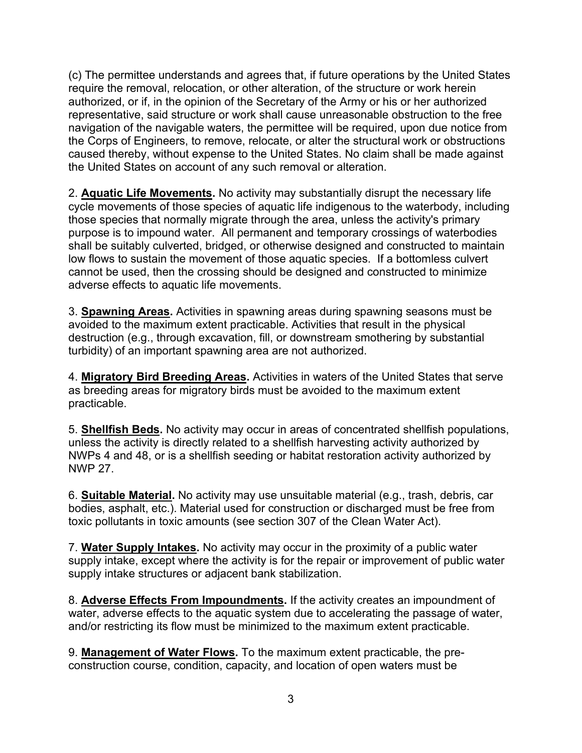(c) The permittee understands and agrees that, if future operations by the United States require the removal, relocation, or other alteration, of the structure or work herein authorized, or if, in the opinion of the Secretary of the Army or his or her authorized representative, said structure or work shall cause unreasonable obstruction to the free navigation of the navigable waters, the permittee will be required, upon due notice from the Corps of Engineers, to remove, relocate, or alter the structural work or obstructions caused thereby, without expense to the United States. No claim shall be made against the United States on account of any such removal or alteration.

2. **Aquatic Life Movements.** No activity may substantially disrupt the necessary life cycle movements of those species of aquatic life indigenous to the waterbody, including those species that normally migrate through the area, unless the activity's primary purpose is to impound water. All permanent and temporary crossings of waterbodies shall be suitably culverted, bridged, or otherwise designed and constructed to maintain low flows to sustain the movement of those aquatic species. If a bottomless culvert cannot be used, then the crossing should be designed and constructed to minimize adverse effects to aquatic life movements.

3. **Spawning Areas.** Activities in spawning areas during spawning seasons must be avoided to the maximum extent practicable. Activities that result in the physical destruction (e.g., through excavation, fill, or downstream smothering by substantial turbidity) of an important spawning area are not authorized.

4. **Migratory Bird Breeding Areas.** Activities in waters of the United States that serve as breeding areas for migratory birds must be avoided to the maximum extent practicable.

5. **Shellfish Beds.** No activity may occur in areas of concentrated shellfish populations, unless the activity is directly related to a shellfish harvesting activity authorized by NWPs 4 and 48, or is a shellfish seeding or habitat restoration activity authorized by NWP 27.

6. **Suitable Material.** No activity may use unsuitable material (e.g., trash, debris, car bodies, asphalt, etc.). Material used for construction or discharged must be free from toxic pollutants in toxic amounts (see section 307 of the Clean Water Act).

7. **Water Supply Intakes.** No activity may occur in the proximity of a public water supply intake, except where the activity is for the repair or improvement of public water supply intake structures or adjacent bank stabilization.

8. **Adverse Effects From Impoundments.** If the activity creates an impoundment of water, adverse effects to the aquatic system due to accelerating the passage of water, and/or restricting its flow must be minimized to the maximum extent practicable.

9. **Management of Water Flows.** To the maximum extent practicable, the preconstruction course, condition, capacity, and location of open waters must be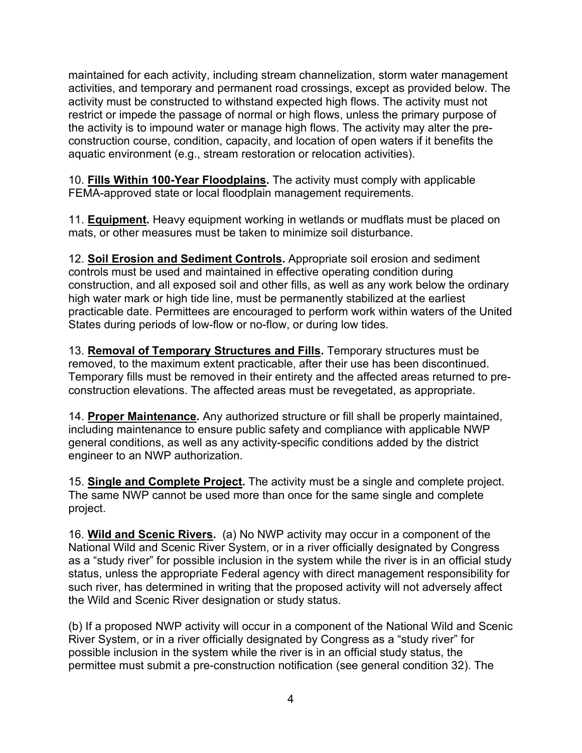maintained for each activity, including stream channelization, storm water management activities, and temporary and permanent road crossings, except as provided below. The activity must be constructed to withstand expected high flows. The activity must not restrict or impede the passage of normal or high flows, unless the primary purpose of the activity is to impound water or manage high flows. The activity may alter the preconstruction course, condition, capacity, and location of open waters if it benefits the aquatic environment (e.g., stream restoration or relocation activities).

10. **Fills Within 100-Year Floodplains.** The activity must comply with applicable FEMA-approved state or local floodplain management requirements.

11. **Equipment.** Heavy equipment working in wetlands or mudflats must be placed on mats, or other measures must be taken to minimize soil disturbance.

12. **Soil Erosion and Sediment Controls.** Appropriate soil erosion and sediment controls must be used and maintained in effective operating condition during construction, and all exposed soil and other fills, as well as any work below the ordinary high water mark or high tide line, must be permanently stabilized at the earliest practicable date. Permittees are encouraged to perform work within waters of the United States during periods of low-flow or no-flow, or during low tides.

13. **Removal of Temporary Structures and Fills.** Temporary structures must be removed, to the maximum extent practicable, after their use has been discontinued. Temporary fills must be removed in their entirety and the affected areas returned to preconstruction elevations. The affected areas must be revegetated, as appropriate.

14. **Proper Maintenance.** Any authorized structure or fill shall be properly maintained, including maintenance to ensure public safety and compliance with applicable NWP general conditions, as well as any activity-specific conditions added by the district engineer to an NWP authorization.

15. **Single and Complete Project.** The activity must be a single and complete project. The same NWP cannot be used more than once for the same single and complete project.

16. **Wild and Scenic Rivers.** (a) No NWP activity may occur in a component of the National Wild and Scenic River System, or in a river officially designated by Congress as a "study river" for possible inclusion in the system while the river is in an official study status, unless the appropriate Federal agency with direct management responsibility for such river, has determined in writing that the proposed activity will not adversely affect the Wild and Scenic River designation or study status.

(b) If a proposed NWP activity will occur in a component of the National Wild and Scenic River System, or in a river officially designated by Congress as a "study river" for possible inclusion in the system while the river is in an official study status, the permittee must submit a pre-construction notification (see general condition 32). The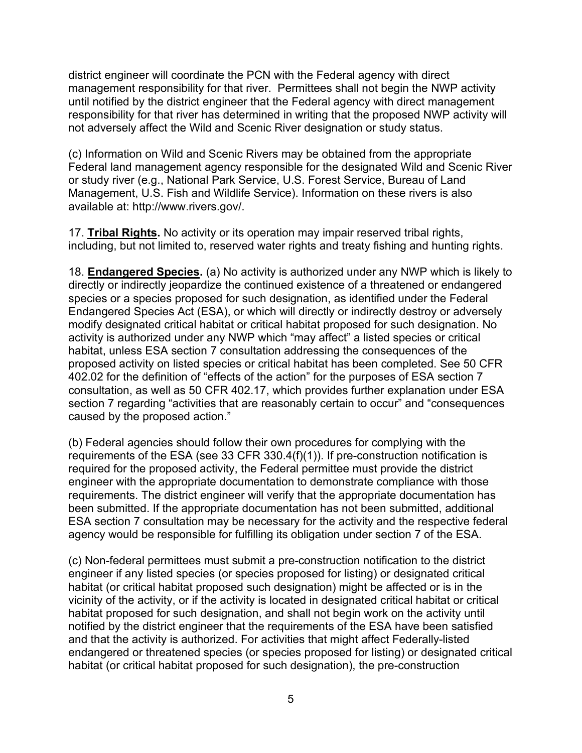district engineer will coordinate the PCN with the Federal agency with direct management responsibility for that river. Permittees shall not begin the NWP activity until notified by the district engineer that the Federal agency with direct management responsibility for that river has determined in writing that the proposed NWP activity will not adversely affect the Wild and Scenic River designation or study status.

(c) Information on Wild and Scenic Rivers may be obtained from the appropriate Federal land management agency responsible for the designated Wild and Scenic River or study river (e.g., National Park Service, U.S. Forest Service, Bureau of Land Management, U.S. Fish and Wildlife Service). Information on these rivers is also available at: http://www.rivers.gov/.

17. **Tribal Rights.** No activity or its operation may impair reserved tribal rights, including, but not limited to, reserved water rights and treaty fishing and hunting rights.

18. **Endangered Species.** (a) No activity is authorized under any NWP which is likely to directly or indirectly jeopardize the continued existence of a threatened or endangered species or a species proposed for such designation, as identified under the Federal Endangered Species Act (ESA), or which will directly or indirectly destroy or adversely modify designated critical habitat or critical habitat proposed for such designation. No activity is authorized under any NWP which "may affect" a listed species or critical habitat, unless ESA section 7 consultation addressing the consequences of the proposed activity on listed species or critical habitat has been completed. See 50 CFR 402.02 for the definition of "effects of the action" for the purposes of ESA section 7 consultation, as well as 50 CFR 402.17, which provides further explanation under ESA section 7 regarding "activities that are reasonably certain to occur" and "consequences caused by the proposed action."

(b) Federal agencies should follow their own procedures for complying with the requirements of the ESA (see 33 CFR 330.4(f)(1)). If pre-construction notification is required for the proposed activity, the Federal permittee must provide the district engineer with the appropriate documentation to demonstrate compliance with those requirements. The district engineer will verify that the appropriate documentation has been submitted. If the appropriate documentation has not been submitted, additional ESA section 7 consultation may be necessary for the activity and the respective federal agency would be responsible for fulfilling its obligation under section 7 of the ESA.

(c) Non-federal permittees must submit a pre-construction notification to the district engineer if any listed species (or species proposed for listing) or designated critical habitat (or critical habitat proposed such designation) might be affected or is in the vicinity of the activity, or if the activity is located in designated critical habitat or critical habitat proposed for such designation, and shall not begin work on the activity until notified by the district engineer that the requirements of the ESA have been satisfied and that the activity is authorized. For activities that might affect Federally-listed endangered or threatened species (or species proposed for listing) or designated critical habitat (or critical habitat proposed for such designation), the pre-construction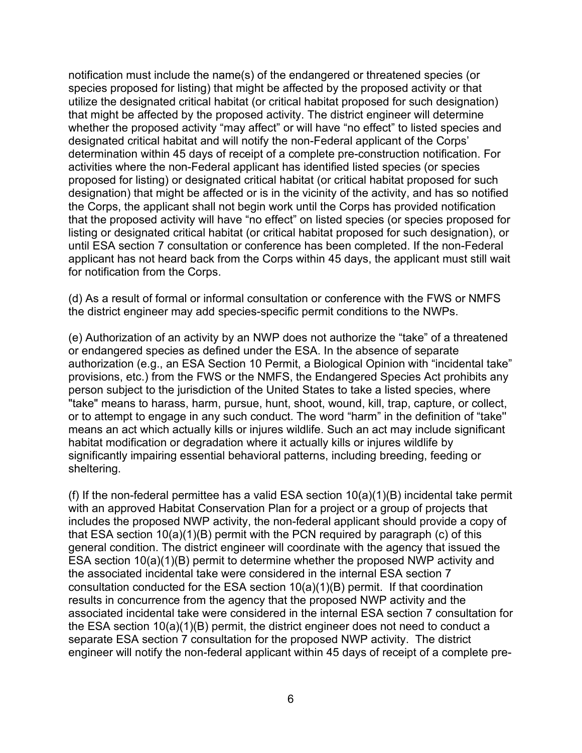notification must include the name(s) of the endangered or threatened species (or species proposed for listing) that might be affected by the proposed activity or that utilize the designated critical habitat (or critical habitat proposed for such designation) that might be affected by the proposed activity. The district engineer will determine whether the proposed activity "may affect" or will have "no effect" to listed species and designated critical habitat and will notify the non-Federal applicant of the Corps' determination within 45 days of receipt of a complete pre-construction notification. For activities where the non-Federal applicant has identified listed species (or species proposed for listing) or designated critical habitat (or critical habitat proposed for such designation) that might be affected or is in the vicinity of the activity, and has so notified the Corps, the applicant shall not begin work until the Corps has provided notification that the proposed activity will have "no effect" on listed species (or species proposed for listing or designated critical habitat (or critical habitat proposed for such designation), or until ESA section 7 consultation or conference has been completed. If the non-Federal applicant has not heard back from the Corps within 45 days, the applicant must still wait for notification from the Corps.

(d) As a result of formal or informal consultation or conference with the FWS or NMFS the district engineer may add species-specific permit conditions to the NWPs.

(e) Authorization of an activity by an NWP does not authorize the "take" of a threatened or endangered species as defined under the ESA. In the absence of separate authorization (e.g., an ESA Section 10 Permit, a Biological Opinion with "incidental take" provisions, etc.) from the FWS or the NMFS, the Endangered Species Act prohibits any person subject to the jurisdiction of the United States to take a listed species, where "take" means to harass, harm, pursue, hunt, shoot, wound, kill, trap, capture, or collect, or to attempt to engage in any such conduct. The word "harm" in the definition of "take'' means an act which actually kills or injures wildlife. Such an act may include significant habitat modification or degradation where it actually kills or injures wildlife by significantly impairing essential behavioral patterns, including breeding, feeding or sheltering.

(f) If the non-federal permittee has a valid ESA section  $10(a)(1)(B)$  incidental take permit with an approved Habitat Conservation Plan for a project or a group of projects that includes the proposed NWP activity, the non-federal applicant should provide a copy of that ESA section 10(a)(1)(B) permit with the PCN required by paragraph (c) of this general condition. The district engineer will coordinate with the agency that issued the ESA section 10(a)(1)(B) permit to determine whether the proposed NWP activity and the associated incidental take were considered in the internal ESA section 7 consultation conducted for the ESA section 10(a)(1)(B) permit. If that coordination results in concurrence from the agency that the proposed NWP activity and the associated incidental take were considered in the internal ESA section 7 consultation for the ESA section 10(a)(1)(B) permit, the district engineer does not need to conduct a separate ESA section 7 consultation for the proposed NWP activity. The district engineer will notify the non-federal applicant within 45 days of receipt of a complete pre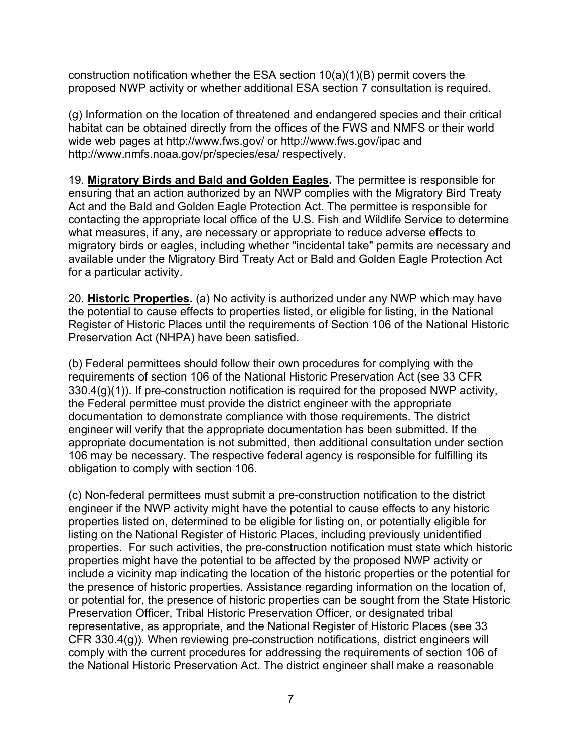construction notification whether the ESA section 10(a)(1)(B) permit covers the proposed NWP activity or whether additional ESA section 7 consultation is required.

(g) Information on the location of threatened and endangered species and their critical habitat can be obtained directly from the offices of the FWS and NMFS or their world wide web pages at http://www.fws.gov/ or http://www.fws.gov/ipac and http://www.nmfs.noaa.gov/pr/species/esa/ respectively.

19. **Migratory Birds and Bald and Golden Eagles.** The permittee is responsible for ensuring that an action authorized by an NWP complies with the Migratory Bird Treaty Act and the Bald and Golden Eagle Protection Act. The permittee is responsible for contacting the appropriate local office of the U.S. Fish and Wildlife Service to determine what measures, if any, are necessary or appropriate to reduce adverse effects to migratory birds or eagles, including whether "incidental take" permits are necessary and available under the Migratory Bird Treaty Act or Bald and Golden Eagle Protection Act for a particular activity.

20. **Historic Properties.** (a) No activity is authorized under any NWP which may have the potential to cause effects to properties listed, or eligible for listing, in the National Register of Historic Places until the requirements of Section 106 of the National Historic Preservation Act (NHPA) have been satisfied.

(b) Federal permittees should follow their own procedures for complying with the requirements of section 106 of the National Historic Preservation Act (see 33 CFR 330.4(g)(1)). If pre-construction notification is required for the proposed NWP activity, the Federal permittee must provide the district engineer with the appropriate documentation to demonstrate compliance with those requirements. The district engineer will verify that the appropriate documentation has been submitted. If the appropriate documentation is not submitted, then additional consultation under section 106 may be necessary. The respective federal agency is responsible for fulfilling its obligation to comply with section 106.

(c) Non-federal permittees must submit a pre-construction notification to the district engineer if the NWP activity might have the potential to cause effects to any historic properties listed on, determined to be eligible for listing on, or potentially eligible for listing on the National Register of Historic Places, including previously unidentified properties. For such activities, the pre-construction notification must state which historic properties might have the potential to be affected by the proposed NWP activity or include a vicinity map indicating the location of the historic properties or the potential for the presence of historic properties. Assistance regarding information on the location of, or potential for, the presence of historic properties can be sought from the State Historic Preservation Officer, Tribal Historic Preservation Officer, or designated tribal representative, as appropriate, and the National Register of Historic Places (see 33 CFR 330.4(g)). When reviewing pre-construction notifications, district engineers will comply with the current procedures for addressing the requirements of section 106 of the National Historic Preservation Act. The district engineer shall make a reasonable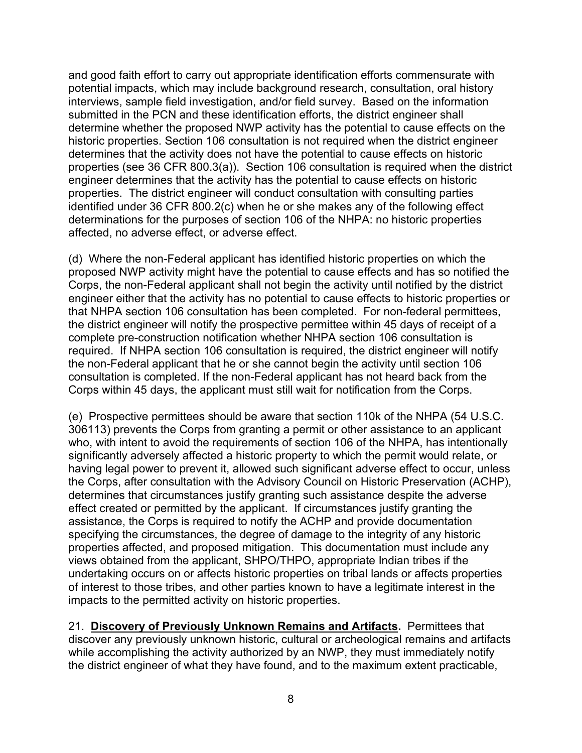and good faith effort to carry out appropriate identification efforts commensurate with potential impacts, which may include background research, consultation, oral history interviews, sample field investigation, and/or field survey. Based on the information submitted in the PCN and these identification efforts, the district engineer shall determine whether the proposed NWP activity has the potential to cause effects on the historic properties. Section 106 consultation is not required when the district engineer determines that the activity does not have the potential to cause effects on historic properties (see 36 CFR 800.3(a)). Section 106 consultation is required when the district engineer determines that the activity has the potential to cause effects on historic properties. The district engineer will conduct consultation with consulting parties identified under 36 CFR 800.2(c) when he or she makes any of the following effect determinations for the purposes of section 106 of the NHPA: no historic properties affected, no adverse effect, or adverse effect.

(d) Where the non-Federal applicant has identified historic properties on which the proposed NWP activity might have the potential to cause effects and has so notified the Corps, the non-Federal applicant shall not begin the activity until notified by the district engineer either that the activity has no potential to cause effects to historic properties or that NHPA section 106 consultation has been completed. For non-federal permittees, the district engineer will notify the prospective permittee within 45 days of receipt of a complete pre-construction notification whether NHPA section 106 consultation is required. If NHPA section 106 consultation is required, the district engineer will notify the non-Federal applicant that he or she cannot begin the activity until section 106 consultation is completed. If the non-Federal applicant has not heard back from the Corps within 45 days, the applicant must still wait for notification from the Corps.

(e) Prospective permittees should be aware that section 110k of the NHPA (54 U.S.C. 306113) prevents the Corps from granting a permit or other assistance to an applicant who, with intent to avoid the requirements of section 106 of the NHPA, has intentionally significantly adversely affected a historic property to which the permit would relate, or having legal power to prevent it, allowed such significant adverse effect to occur, unless the Corps, after consultation with the Advisory Council on Historic Preservation (ACHP), determines that circumstances justify granting such assistance despite the adverse effect created or permitted by the applicant. If circumstances justify granting the assistance, the Corps is required to notify the ACHP and provide documentation specifying the circumstances, the degree of damage to the integrity of any historic properties affected, and proposed mitigation. This documentation must include any views obtained from the applicant, SHPO/THPO, appropriate Indian tribes if the undertaking occurs on or affects historic properties on tribal lands or affects properties of interest to those tribes, and other parties known to have a legitimate interest in the impacts to the permitted activity on historic properties.

21. **Discovery of Previously Unknown Remains and Artifacts.** Permittees that discover any previously unknown historic, cultural or archeological remains and artifacts while accomplishing the activity authorized by an NWP, they must immediately notify the district engineer of what they have found, and to the maximum extent practicable,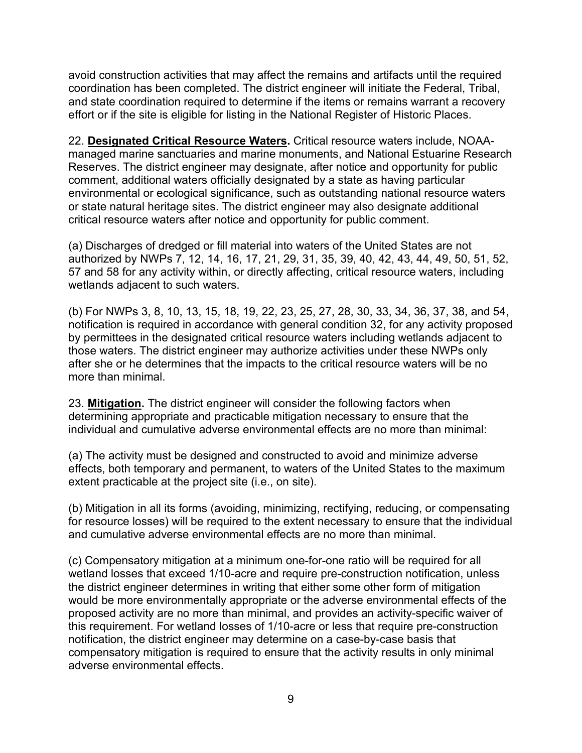avoid construction activities that may affect the remains and artifacts until the required coordination has been completed. The district engineer will initiate the Federal, Tribal, and state coordination required to determine if the items or remains warrant a recovery effort or if the site is eligible for listing in the National Register of Historic Places.

22. **Designated Critical Resource Waters.** Critical resource waters include, NOAAmanaged marine sanctuaries and marine monuments, and National Estuarine Research Reserves. The district engineer may designate, after notice and opportunity for public comment, additional waters officially designated by a state as having particular environmental or ecological significance, such as outstanding national resource waters or state natural heritage sites. The district engineer may also designate additional critical resource waters after notice and opportunity for public comment.

(a) Discharges of dredged or fill material into waters of the United States are not authorized by NWPs 7, 12, 14, 16, 17, 21, 29, 31, 35, 39, 40, 42, 43, 44, 49, 50, 51, 52, 57 and 58 for any activity within, or directly affecting, critical resource waters, including wetlands adjacent to such waters.

(b) For NWPs 3, 8, 10, 13, 15, 18, 19, 22, 23, 25, 27, 28, 30, 33, 34, 36, 37, 38, and 54, notification is required in accordance with general condition 32, for any activity proposed by permittees in the designated critical resource waters including wetlands adjacent to those waters. The district engineer may authorize activities under these NWPs only after she or he determines that the impacts to the critical resource waters will be no more than minimal.

23. **Mitigation.** The district engineer will consider the following factors when determining appropriate and practicable mitigation necessary to ensure that the individual and cumulative adverse environmental effects are no more than minimal:

(a) The activity must be designed and constructed to avoid and minimize adverse effects, both temporary and permanent, to waters of the United States to the maximum extent practicable at the project site (i.e., on site).

(b) Mitigation in all its forms (avoiding, minimizing, rectifying, reducing, or compensating for resource losses) will be required to the extent necessary to ensure that the individual and cumulative adverse environmental effects are no more than minimal.

(c) Compensatory mitigation at a minimum one-for-one ratio will be required for all wetland losses that exceed 1/10-acre and require pre-construction notification, unless the district engineer determines in writing that either some other form of mitigation would be more environmentally appropriate or the adverse environmental effects of the proposed activity are no more than minimal, and provides an activity-specific waiver of this requirement. For wetland losses of 1/10-acre or less that require pre-construction notification, the district engineer may determine on a case-by-case basis that compensatory mitigation is required to ensure that the activity results in only minimal adverse environmental effects.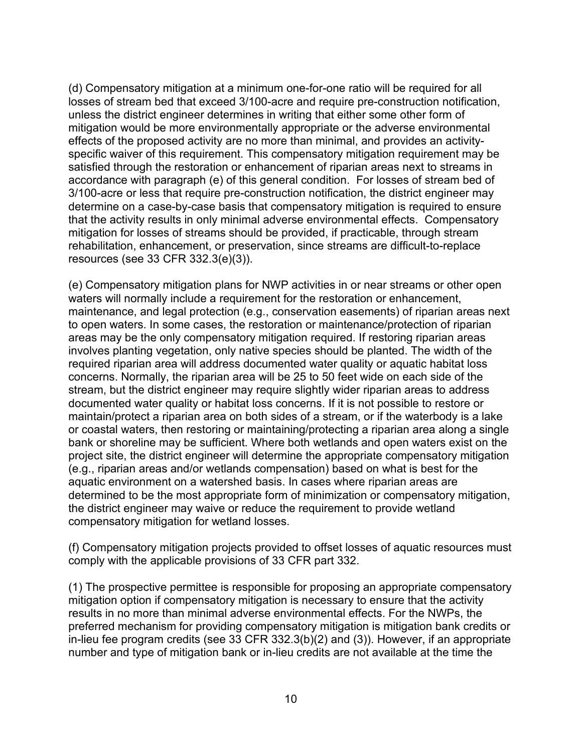(d) Compensatory mitigation at a minimum one-for-one ratio will be required for all losses of stream bed that exceed 3/100-acre and require pre-construction notification, unless the district engineer determines in writing that either some other form of mitigation would be more environmentally appropriate or the adverse environmental effects of the proposed activity are no more than minimal, and provides an activityspecific waiver of this requirement. This compensatory mitigation requirement may be satisfied through the restoration or enhancement of riparian areas next to streams in accordance with paragraph (e) of this general condition. For losses of stream bed of 3/100-acre or less that require pre-construction notification, the district engineer may determine on a case-by-case basis that compensatory mitigation is required to ensure that the activity results in only minimal adverse environmental effects. Compensatory mitigation for losses of streams should be provided, if practicable, through stream rehabilitation, enhancement, or preservation, since streams are difficult-to-replace resources (see 33 CFR 332.3(e)(3)).

(e) Compensatory mitigation plans for NWP activities in or near streams or other open waters will normally include a requirement for the restoration or enhancement, maintenance, and legal protection (e.g., conservation easements) of riparian areas next to open waters. In some cases, the restoration or maintenance/protection of riparian areas may be the only compensatory mitigation required. If restoring riparian areas involves planting vegetation, only native species should be planted. The width of the required riparian area will address documented water quality or aquatic habitat loss concerns. Normally, the riparian area will be 25 to 50 feet wide on each side of the stream, but the district engineer may require slightly wider riparian areas to address documented water quality or habitat loss concerns. If it is not possible to restore or maintain/protect a riparian area on both sides of a stream, or if the waterbody is a lake or coastal waters, then restoring or maintaining/protecting a riparian area along a single bank or shoreline may be sufficient. Where both wetlands and open waters exist on the project site, the district engineer will determine the appropriate compensatory mitigation (e.g., riparian areas and/or wetlands compensation) based on what is best for the aquatic environment on a watershed basis. In cases where riparian areas are determined to be the most appropriate form of minimization or compensatory mitigation, the district engineer may waive or reduce the requirement to provide wetland compensatory mitigation for wetland losses.

(f) Compensatory mitigation projects provided to offset losses of aquatic resources must comply with the applicable provisions of 33 CFR part 332.

(1) The prospective permittee is responsible for proposing an appropriate compensatory mitigation option if compensatory mitigation is necessary to ensure that the activity results in no more than minimal adverse environmental effects. For the NWPs, the preferred mechanism for providing compensatory mitigation is mitigation bank credits or in-lieu fee program credits (see 33 CFR 332.3(b)(2) and (3)). However, if an appropriate number and type of mitigation bank or in-lieu credits are not available at the time the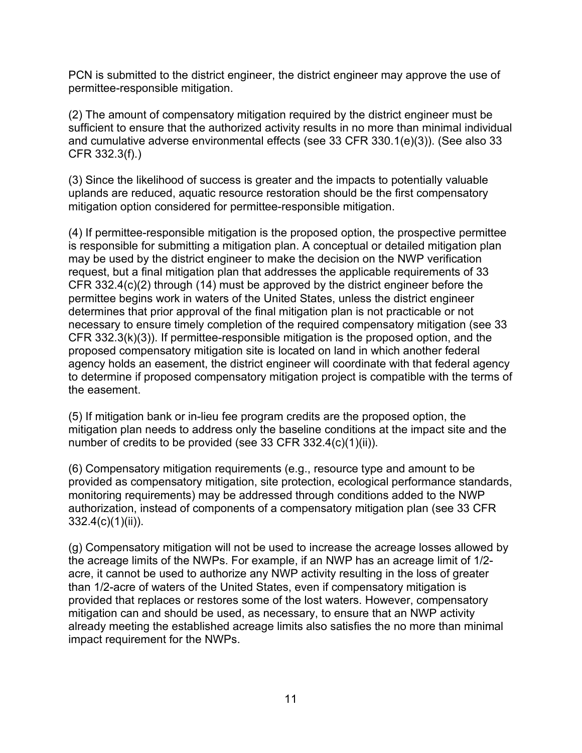PCN is submitted to the district engineer, the district engineer may approve the use of permittee-responsible mitigation.

(2) The amount of compensatory mitigation required by the district engineer must be sufficient to ensure that the authorized activity results in no more than minimal individual and cumulative adverse environmental effects (see 33 CFR 330.1(e)(3)). (See also 33 CFR 332.3(f).)

(3) Since the likelihood of success is greater and the impacts to potentially valuable uplands are reduced, aquatic resource restoration should be the first compensatory mitigation option considered for permittee-responsible mitigation.

(4) If permittee-responsible mitigation is the proposed option, the prospective permittee is responsible for submitting a mitigation plan. A conceptual or detailed mitigation plan may be used by the district engineer to make the decision on the NWP verification request, but a final mitigation plan that addresses the applicable requirements of 33 CFR 332.4(c)(2) through (14) must be approved by the district engineer before the permittee begins work in waters of the United States, unless the district engineer determines that prior approval of the final mitigation plan is not practicable or not necessary to ensure timely completion of the required compensatory mitigation (see 33 CFR 332.3(k)(3)). If permittee-responsible mitigation is the proposed option, and the proposed compensatory mitigation site is located on land in which another federal agency holds an easement, the district engineer will coordinate with that federal agency to determine if proposed compensatory mitigation project is compatible with the terms of the easement.

(5) If mitigation bank or in-lieu fee program credits are the proposed option, the mitigation plan needs to address only the baseline conditions at the impact site and the number of credits to be provided (see 33 CFR 332.4(c)(1)(ii)).

(6) Compensatory mitigation requirements (e.g., resource type and amount to be provided as compensatory mitigation, site protection, ecological performance standards, monitoring requirements) may be addressed through conditions added to the NWP authorization, instead of components of a compensatory mitigation plan (see 33 CFR 332.4(c)(1)(ii)).

(g) Compensatory mitigation will not be used to increase the acreage losses allowed by the acreage limits of the NWPs. For example, if an NWP has an acreage limit of 1/2 acre, it cannot be used to authorize any NWP activity resulting in the loss of greater than 1/2-acre of waters of the United States, even if compensatory mitigation is provided that replaces or restores some of the lost waters. However, compensatory mitigation can and should be used, as necessary, to ensure that an NWP activity already meeting the established acreage limits also satisfies the no more than minimal impact requirement for the NWPs.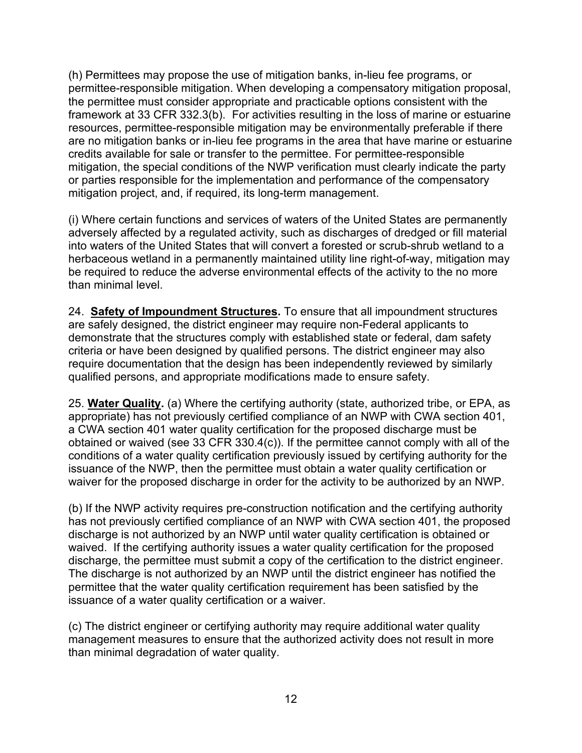(h) Permittees may propose the use of mitigation banks, in-lieu fee programs, or permittee-responsible mitigation. When developing a compensatory mitigation proposal, the permittee must consider appropriate and practicable options consistent with the framework at 33 CFR 332.3(b). For activities resulting in the loss of marine or estuarine resources, permittee-responsible mitigation may be environmentally preferable if there are no mitigation banks or in-lieu fee programs in the area that have marine or estuarine credits available for sale or transfer to the permittee. For permittee-responsible mitigation, the special conditions of the NWP verification must clearly indicate the party or parties responsible for the implementation and performance of the compensatory mitigation project, and, if required, its long-term management.

(i) Where certain functions and services of waters of the United States are permanently adversely affected by a regulated activity, such as discharges of dredged or fill material into waters of the United States that will convert a forested or scrub-shrub wetland to a herbaceous wetland in a permanently maintained utility line right-of-way, mitigation may be required to reduce the adverse environmental effects of the activity to the no more than minimal level.

24. **Safety of Impoundment Structures.** To ensure that all impoundment structures are safely designed, the district engineer may require non-Federal applicants to demonstrate that the structures comply with established state or federal, dam safety criteria or have been designed by qualified persons. The district engineer may also require documentation that the design has been independently reviewed by similarly qualified persons, and appropriate modifications made to ensure safety.

25. **Water Quality.** (a) Where the certifying authority (state, authorized tribe, or EPA, as appropriate) has not previously certified compliance of an NWP with CWA section 401, a CWA section 401 water quality certification for the proposed discharge must be obtained or waived (see 33 CFR 330.4(c)). If the permittee cannot comply with all of the conditions of a water quality certification previously issued by certifying authority for the issuance of the NWP, then the permittee must obtain a water quality certification or waiver for the proposed discharge in order for the activity to be authorized by an NWP.

(b) If the NWP activity requires pre-construction notification and the certifying authority has not previously certified compliance of an NWP with CWA section 401, the proposed discharge is not authorized by an NWP until water quality certification is obtained or waived. If the certifying authority issues a water quality certification for the proposed discharge, the permittee must submit a copy of the certification to the district engineer. The discharge is not authorized by an NWP until the district engineer has notified the permittee that the water quality certification requirement has been satisfied by the issuance of a water quality certification or a waiver.

(c) The district engineer or certifying authority may require additional water quality management measures to ensure that the authorized activity does not result in more than minimal degradation of water quality.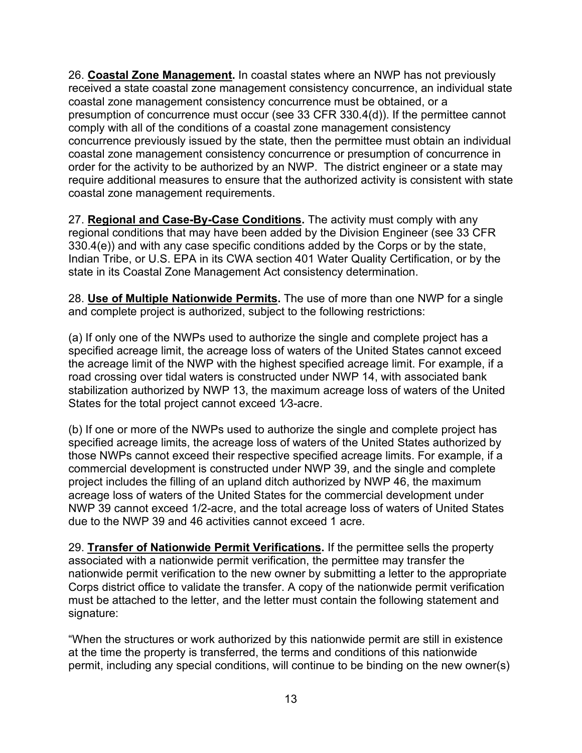26. **Coastal Zone Management.** In coastal states where an NWP has not previously received a state coastal zone management consistency concurrence, an individual state coastal zone management consistency concurrence must be obtained, or a presumption of concurrence must occur (see 33 CFR 330.4(d)). If the permittee cannot comply with all of the conditions of a coastal zone management consistency concurrence previously issued by the state, then the permittee must obtain an individual coastal zone management consistency concurrence or presumption of concurrence in order for the activity to be authorized by an NWP. The district engineer or a state may require additional measures to ensure that the authorized activity is consistent with state coastal zone management requirements.

27. **Regional and Case-By-Case Conditions.** The activity must comply with any regional conditions that may have been added by the Division Engineer (see 33 CFR 330.4(e)) and with any case specific conditions added by the Corps or by the state, Indian Tribe, or U.S. EPA in its CWA section 401 Water Quality Certification, or by the state in its Coastal Zone Management Act consistency determination.

28. **Use of Multiple Nationwide Permits.** The use of more than one NWP for a single and complete project is authorized, subject to the following restrictions:

(a) If only one of the NWPs used to authorize the single and complete project has a specified acreage limit, the acreage loss of waters of the United States cannot exceed the acreage limit of the NWP with the highest specified acreage limit. For example, if a road crossing over tidal waters is constructed under NWP 14, with associated bank stabilization authorized by NWP 13, the maximum acreage loss of waters of the United States for the total project cannot exceed 1/3-acre.

(b) If one or more of the NWPs used to authorize the single and complete project has specified acreage limits, the acreage loss of waters of the United States authorized by those NWPs cannot exceed their respective specified acreage limits. For example, if a commercial development is constructed under NWP 39, and the single and complete project includes the filling of an upland ditch authorized by NWP 46, the maximum acreage loss of waters of the United States for the commercial development under NWP 39 cannot exceed 1/2-acre, and the total acreage loss of waters of United States due to the NWP 39 and 46 activities cannot exceed 1 acre.

29. **Transfer of Nationwide Permit Verifications.** If the permittee sells the property associated with a nationwide permit verification, the permittee may transfer the nationwide permit verification to the new owner by submitting a letter to the appropriate Corps district office to validate the transfer. A copy of the nationwide permit verification must be attached to the letter, and the letter must contain the following statement and signature:

"When the structures or work authorized by this nationwide permit are still in existence at the time the property is transferred, the terms and conditions of this nationwide permit, including any special conditions, will continue to be binding on the new owner(s)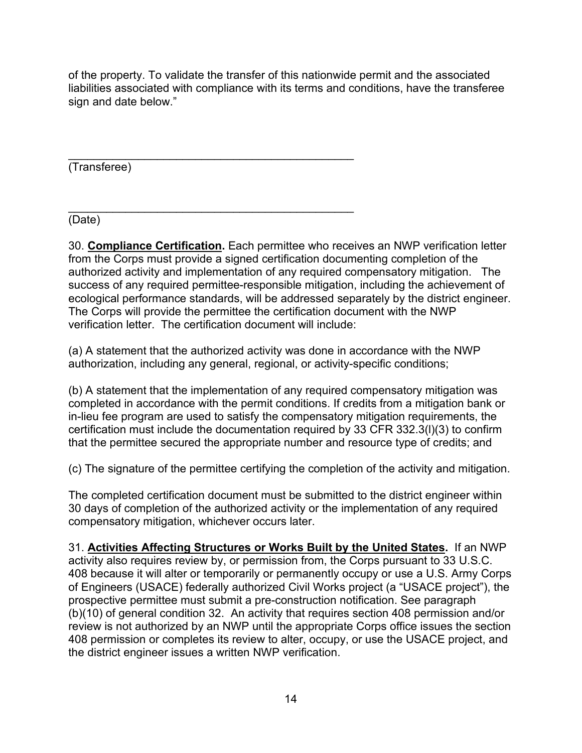of the property. To validate the transfer of this nationwide permit and the associated liabilities associated with compliance with its terms and conditions, have the transferee sign and date below."

\_\_\_\_\_\_\_\_\_\_\_\_\_\_\_\_\_\_\_\_\_\_\_\_\_\_\_\_\_\_\_\_\_\_\_\_\_\_\_\_\_\_\_\_\_ (Transferee)

\_\_\_\_\_\_\_\_\_\_\_\_\_\_\_\_\_\_\_\_\_\_\_\_\_\_\_\_\_\_\_\_\_\_\_\_\_\_\_\_\_\_\_\_\_ (Date)

30. **Compliance Certification.** Each permittee who receives an NWP verification letter from the Corps must provide a signed certification documenting completion of the authorized activity and implementation of any required compensatory mitigation. The success of any required permittee-responsible mitigation, including the achievement of ecological performance standards, will be addressed separately by the district engineer. The Corps will provide the permittee the certification document with the NWP verification letter. The certification document will include:

(a) A statement that the authorized activity was done in accordance with the NWP authorization, including any general, regional, or activity-specific conditions;

(b) A statement that the implementation of any required compensatory mitigation was completed in accordance with the permit conditions. If credits from a mitigation bank or in-lieu fee program are used to satisfy the compensatory mitigation requirements, the certification must include the documentation required by 33 CFR 332.3(l)(3) to confirm that the permittee secured the appropriate number and resource type of credits; and

(c) The signature of the permittee certifying the completion of the activity and mitigation.

The completed certification document must be submitted to the district engineer within 30 days of completion of the authorized activity or the implementation of any required compensatory mitigation, whichever occurs later.

31. **Activities Affecting Structures or Works Built by the United States.** If an NWP activity also requires review by, or permission from, the Corps pursuant to 33 U.S.C. 408 because it will alter or temporarily or permanently occupy or use a U.S. Army Corps of Engineers (USACE) federally authorized Civil Works project (a "USACE project"), the prospective permittee must submit a pre-construction notification. See paragraph (b)(10) of general condition 32. An activity that requires section 408 permission and/or review is not authorized by an NWP until the appropriate Corps office issues the section 408 permission or completes its review to alter, occupy, or use the USACE project, and the district engineer issues a written NWP verification.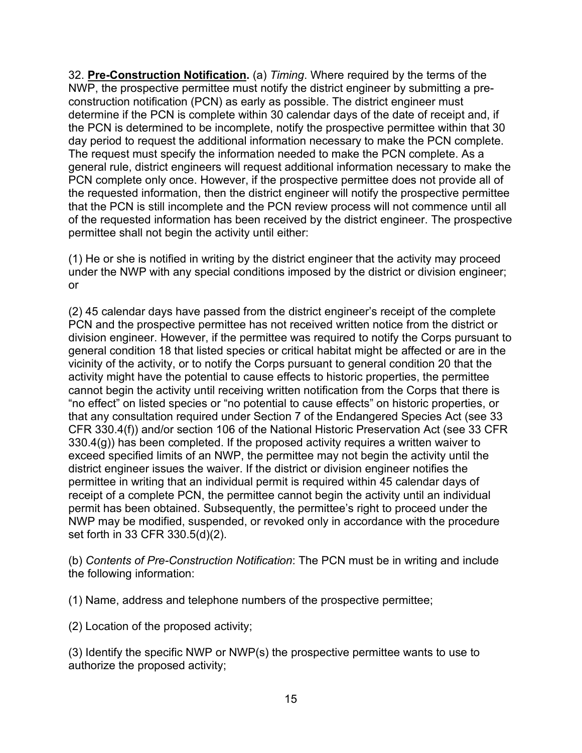32. **Pre-Construction Notification.** (a) *Timing*. Where required by the terms of the NWP, the prospective permittee must notify the district engineer by submitting a preconstruction notification (PCN) as early as possible. The district engineer must determine if the PCN is complete within 30 calendar days of the date of receipt and, if the PCN is determined to be incomplete, notify the prospective permittee within that 30 day period to request the additional information necessary to make the PCN complete. The request must specify the information needed to make the PCN complete. As a general rule, district engineers will request additional information necessary to make the PCN complete only once. However, if the prospective permittee does not provide all of the requested information, then the district engineer will notify the prospective permittee that the PCN is still incomplete and the PCN review process will not commence until all of the requested information has been received by the district engineer. The prospective permittee shall not begin the activity until either:

(1) He or she is notified in writing by the district engineer that the activity may proceed under the NWP with any special conditions imposed by the district or division engineer; or

(2) 45 calendar days have passed from the district engineer's receipt of the complete PCN and the prospective permittee has not received written notice from the district or division engineer. However, if the permittee was required to notify the Corps pursuant to general condition 18 that listed species or critical habitat might be affected or are in the vicinity of the activity, or to notify the Corps pursuant to general condition 20 that the activity might have the potential to cause effects to historic properties, the permittee cannot begin the activity until receiving written notification from the Corps that there is "no effect" on listed species or "no potential to cause effects" on historic properties, or that any consultation required under Section 7 of the Endangered Species Act (see 33 CFR 330.4(f)) and/or section 106 of the National Historic Preservation Act (see 33 CFR 330.4(g)) has been completed. If the proposed activity requires a written waiver to exceed specified limits of an NWP, the permittee may not begin the activity until the district engineer issues the waiver. If the district or division engineer notifies the permittee in writing that an individual permit is required within 45 calendar days of receipt of a complete PCN, the permittee cannot begin the activity until an individual permit has been obtained. Subsequently, the permittee's right to proceed under the NWP may be modified, suspended, or revoked only in accordance with the procedure set forth in 33 CFR 330.5(d)(2).

(b) *Contents of Pre-Construction Notification*: The PCN must be in writing and include the following information:

(1) Name, address and telephone numbers of the prospective permittee;

(2) Location of the proposed activity;

(3) Identify the specific NWP or NWP(s) the prospective permittee wants to use to authorize the proposed activity;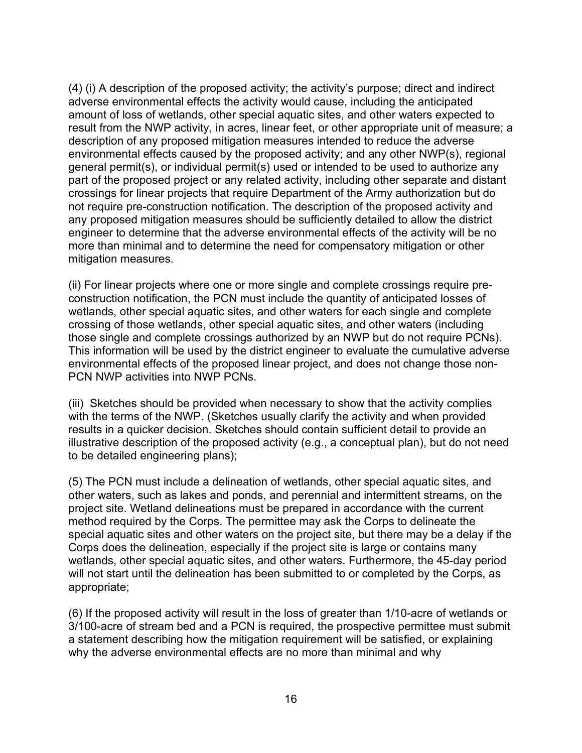(4) (i) A description of the proposed activity; the activity's purpose; direct and indirect adverse environmental effects the activity would cause, including the anticipated amount of loss of wetlands, other special aquatic sites, and other waters expected to result from the NWP activity, in acres, linear feet, or other appropriate unit of measure; a description of any proposed mitigation measures intended to reduce the adverse environmental effects caused by the proposed activity; and any other NWP(s), regional general permit(s), or individual permit(s) used or intended to be used to authorize any part of the proposed project or any related activity, including other separate and distant crossings for linear projects that require Department of the Army authorization but do not require pre-construction notification. The description of the proposed activity and any proposed mitigation measures should be sufficiently detailed to allow the district engineer to determine that the adverse environmental effects of the activity will be no more than minimal and to determine the need for compensatory mitigation or other mitigation measures.

(ii) For linear projects where one or more single and complete crossings require preconstruction notification, the PCN must include the quantity of anticipated losses of wetlands, other special aquatic sites, and other waters for each single and complete crossing of those wetlands, other special aquatic sites, and other waters (including those single and complete crossings authorized by an NWP but do not require PCNs). This information will be used by the district engineer to evaluate the cumulative adverse environmental effects of the proposed linear project, and does not change those non-PCN NWP activities into NWP PCNs.

(iii) Sketches should be provided when necessary to show that the activity complies with the terms of the NWP. (Sketches usually clarify the activity and when provided results in a quicker decision. Sketches should contain sufficient detail to provide an illustrative description of the proposed activity (e.g., a conceptual plan), but do not need to be detailed engineering plans);

(5) The PCN must include a delineation of wetlands, other special aquatic sites, and other waters, such as lakes and ponds, and perennial and intermittent streams, on the project site. Wetland delineations must be prepared in accordance with the current method required by the Corps. The permittee may ask the Corps to delineate the special aquatic sites and other waters on the project site, but there may be a delay if the Corps does the delineation, especially if the project site is large or contains many wetlands, other special aquatic sites, and other waters. Furthermore, the 45-day period will not start until the delineation has been submitted to or completed by the Corps, as appropriate;

(6) If the proposed activity will result in the loss of greater than 1/10-acre of wetlands or 3/100-acre of stream bed and a PCN is required, the prospective permittee must submit a statement describing how the mitigation requirement will be satisfied, or explaining why the adverse environmental effects are no more than minimal and why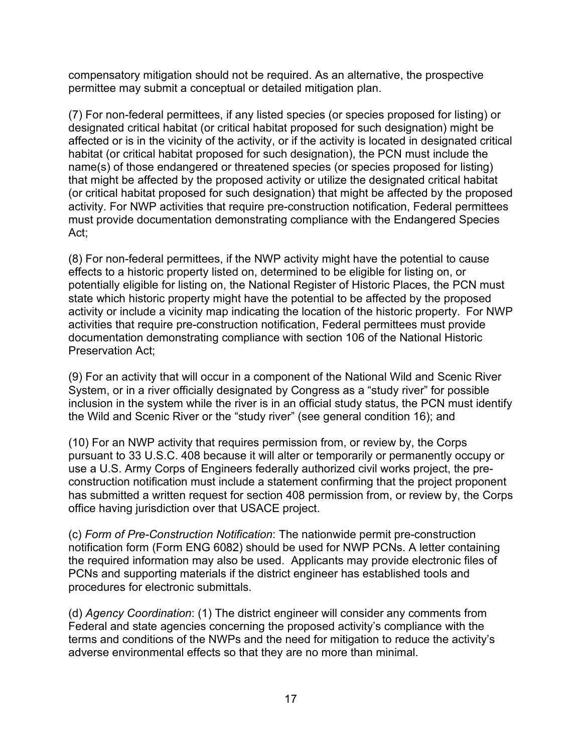compensatory mitigation should not be required. As an alternative, the prospective permittee may submit a conceptual or detailed mitigation plan.

(7) For non-federal permittees, if any listed species (or species proposed for listing) or designated critical habitat (or critical habitat proposed for such designation) might be affected or is in the vicinity of the activity, or if the activity is located in designated critical habitat (or critical habitat proposed for such designation), the PCN must include the name(s) of those endangered or threatened species (or species proposed for listing) that might be affected by the proposed activity or utilize the designated critical habitat (or critical habitat proposed for such designation) that might be affected by the proposed activity. For NWP activities that require pre-construction notification, Federal permittees must provide documentation demonstrating compliance with the Endangered Species Act;

(8) For non-federal permittees, if the NWP activity might have the potential to cause effects to a historic property listed on, determined to be eligible for listing on, or potentially eligible for listing on, the National Register of Historic Places, the PCN must state which historic property might have the potential to be affected by the proposed activity or include a vicinity map indicating the location of the historic property. For NWP activities that require pre-construction notification, Federal permittees must provide documentation demonstrating compliance with section 106 of the National Historic Preservation Act;

(9) For an activity that will occur in a component of the National Wild and Scenic River System, or in a river officially designated by Congress as a "study river" for possible inclusion in the system while the river is in an official study status, the PCN must identify the Wild and Scenic River or the "study river" (see general condition 16); and

(10) For an NWP activity that requires permission from, or review by, the Corps pursuant to 33 U.S.C. 408 because it will alter or temporarily or permanently occupy or use a U.S. Army Corps of Engineers federally authorized civil works project, the preconstruction notification must include a statement confirming that the project proponent has submitted a written request for section 408 permission from, or review by, the Corps office having jurisdiction over that USACE project.

(c) *Form of Pre-Construction Notification*: The nationwide permit pre-construction notification form (Form ENG 6082) should be used for NWP PCNs. A letter containing the required information may also be used. Applicants may provide electronic files of PCNs and supporting materials if the district engineer has established tools and procedures for electronic submittals.

(d) *Agency Coordination*: (1) The district engineer will consider any comments from Federal and state agencies concerning the proposed activity's compliance with the terms and conditions of the NWPs and the need for mitigation to reduce the activity's adverse environmental effects so that they are no more than minimal.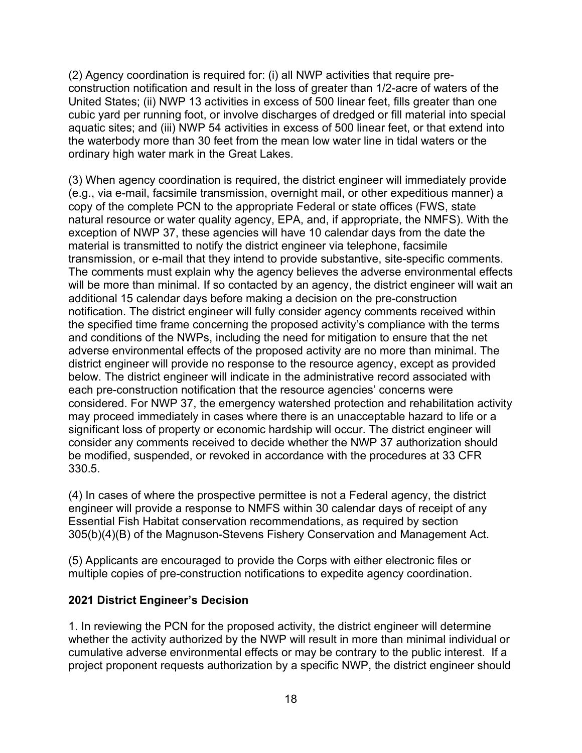(2) Agency coordination is required for: (i) all NWP activities that require preconstruction notification and result in the loss of greater than 1/2-acre of waters of the United States; (ii) NWP 13 activities in excess of 500 linear feet, fills greater than one cubic yard per running foot, or involve discharges of dredged or fill material into special aquatic sites; and (iii) NWP 54 activities in excess of 500 linear feet, or that extend into the waterbody more than 30 feet from the mean low water line in tidal waters or the ordinary high water mark in the Great Lakes.

(3) When agency coordination is required, the district engineer will immediately provide (e.g., via e-mail, facsimile transmission, overnight mail, or other expeditious manner) a copy of the complete PCN to the appropriate Federal or state offices (FWS, state natural resource or water quality agency, EPA, and, if appropriate, the NMFS). With the exception of NWP 37, these agencies will have 10 calendar days from the date the material is transmitted to notify the district engineer via telephone, facsimile transmission, or e-mail that they intend to provide substantive, site-specific comments. The comments must explain why the agency believes the adverse environmental effects will be more than minimal. If so contacted by an agency, the district engineer will wait an additional 15 calendar days before making a decision on the pre-construction notification. The district engineer will fully consider agency comments received within the specified time frame concerning the proposed activity's compliance with the terms and conditions of the NWPs, including the need for mitigation to ensure that the net adverse environmental effects of the proposed activity are no more than minimal. The district engineer will provide no response to the resource agency, except as provided below. The district engineer will indicate in the administrative record associated with each pre-construction notification that the resource agencies' concerns were considered. For NWP 37, the emergency watershed protection and rehabilitation activity may proceed immediately in cases where there is an unacceptable hazard to life or a significant loss of property or economic hardship will occur. The district engineer will consider any comments received to decide whether the NWP 37 authorization should be modified, suspended, or revoked in accordance with the procedures at 33 CFR 330.5.

(4) In cases of where the prospective permittee is not a Federal agency, the district engineer will provide a response to NMFS within 30 calendar days of receipt of any Essential Fish Habitat conservation recommendations, as required by section 305(b)(4)(B) of the Magnuson-Stevens Fishery Conservation and Management Act.

(5) Applicants are encouraged to provide the Corps with either electronic files or multiple copies of pre-construction notifications to expedite agency coordination.

### **2021 District Engineer's Decision**

1. In reviewing the PCN for the proposed activity, the district engineer will determine whether the activity authorized by the NWP will result in more than minimal individual or cumulative adverse environmental effects or may be contrary to the public interest. If a project proponent requests authorization by a specific NWP, the district engineer should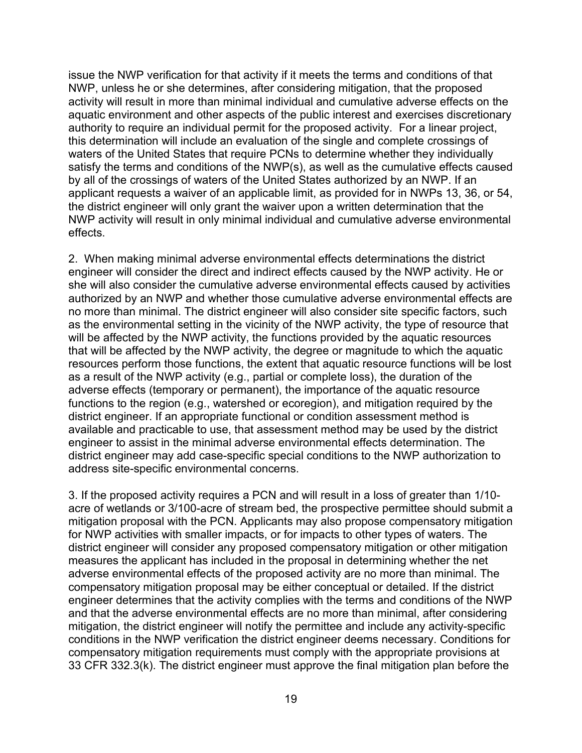issue the NWP verification for that activity if it meets the terms and conditions of that NWP, unless he or she determines, after considering mitigation, that the proposed activity will result in more than minimal individual and cumulative adverse effects on the aquatic environment and other aspects of the public interest and exercises discretionary authority to require an individual permit for the proposed activity. For a linear project, this determination will include an evaluation of the single and complete crossings of waters of the United States that require PCNs to determine whether they individually satisfy the terms and conditions of the NWP(s), as well as the cumulative effects caused by all of the crossings of waters of the United States authorized by an NWP. If an applicant requests a waiver of an applicable limit, as provided for in NWPs 13, 36, or 54, the district engineer will only grant the waiver upon a written determination that the NWP activity will result in only minimal individual and cumulative adverse environmental effects.

2. When making minimal adverse environmental effects determinations the district engineer will consider the direct and indirect effects caused by the NWP activity. He or she will also consider the cumulative adverse environmental effects caused by activities authorized by an NWP and whether those cumulative adverse environmental effects are no more than minimal. The district engineer will also consider site specific factors, such as the environmental setting in the vicinity of the NWP activity, the type of resource that will be affected by the NWP activity, the functions provided by the aquatic resources that will be affected by the NWP activity, the degree or magnitude to which the aquatic resources perform those functions, the extent that aquatic resource functions will be lost as a result of the NWP activity (e.g., partial or complete loss), the duration of the adverse effects (temporary or permanent), the importance of the aquatic resource functions to the region (e.g., watershed or ecoregion), and mitigation required by the district engineer. If an appropriate functional or condition assessment method is available and practicable to use, that assessment method may be used by the district engineer to assist in the minimal adverse environmental effects determination. The district engineer may add case-specific special conditions to the NWP authorization to address site-specific environmental concerns.

3. If the proposed activity requires a PCN and will result in a loss of greater than 1/10 acre of wetlands or 3/100-acre of stream bed, the prospective permittee should submit a mitigation proposal with the PCN. Applicants may also propose compensatory mitigation for NWP activities with smaller impacts, or for impacts to other types of waters. The district engineer will consider any proposed compensatory mitigation or other mitigation measures the applicant has included in the proposal in determining whether the net adverse environmental effects of the proposed activity are no more than minimal. The compensatory mitigation proposal may be either conceptual or detailed. If the district engineer determines that the activity complies with the terms and conditions of the NWP and that the adverse environmental effects are no more than minimal, after considering mitigation, the district engineer will notify the permittee and include any activity-specific conditions in the NWP verification the district engineer deems necessary. Conditions for compensatory mitigation requirements must comply with the appropriate provisions at 33 CFR 332.3(k). The district engineer must approve the final mitigation plan before the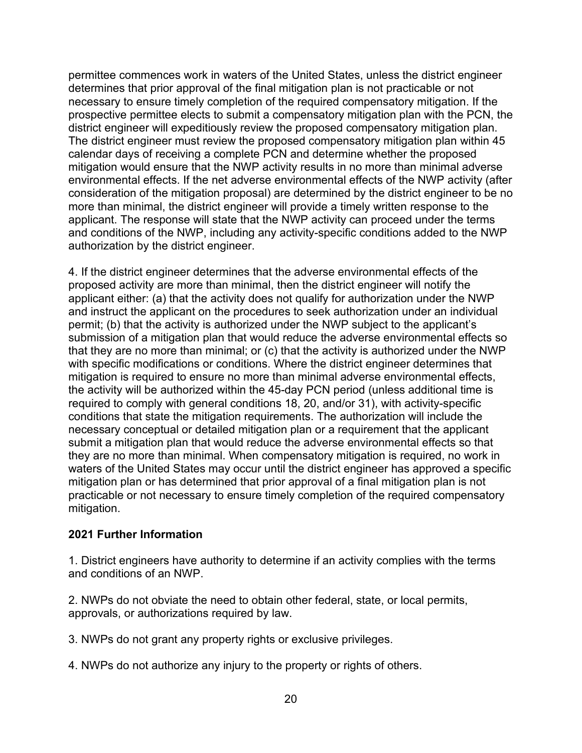permittee commences work in waters of the United States, unless the district engineer determines that prior approval of the final mitigation plan is not practicable or not necessary to ensure timely completion of the required compensatory mitigation. If the prospective permittee elects to submit a compensatory mitigation plan with the PCN, the district engineer will expeditiously review the proposed compensatory mitigation plan. The district engineer must review the proposed compensatory mitigation plan within 45 calendar days of receiving a complete PCN and determine whether the proposed mitigation would ensure that the NWP activity results in no more than minimal adverse environmental effects. If the net adverse environmental effects of the NWP activity (after consideration of the mitigation proposal) are determined by the district engineer to be no more than minimal, the district engineer will provide a timely written response to the applicant. The response will state that the NWP activity can proceed under the terms and conditions of the NWP, including any activity-specific conditions added to the NWP authorization by the district engineer.

4. If the district engineer determines that the adverse environmental effects of the proposed activity are more than minimal, then the district engineer will notify the applicant either: (a) that the activity does not qualify for authorization under the NWP and instruct the applicant on the procedures to seek authorization under an individual permit; (b) that the activity is authorized under the NWP subject to the applicant's submission of a mitigation plan that would reduce the adverse environmental effects so that they are no more than minimal; or (c) that the activity is authorized under the NWP with specific modifications or conditions. Where the district engineer determines that mitigation is required to ensure no more than minimal adverse environmental effects, the activity will be authorized within the 45-day PCN period (unless additional time is required to comply with general conditions 18, 20, and/or 31), with activity-specific conditions that state the mitigation requirements. The authorization will include the necessary conceptual or detailed mitigation plan or a requirement that the applicant submit a mitigation plan that would reduce the adverse environmental effects so that they are no more than minimal. When compensatory mitigation is required, no work in waters of the United States may occur until the district engineer has approved a specific mitigation plan or has determined that prior approval of a final mitigation plan is not practicable or not necessary to ensure timely completion of the required compensatory mitigation.

### **2021 Further Information**

1. District engineers have authority to determine if an activity complies with the terms and conditions of an NWP.

2. NWPs do not obviate the need to obtain other federal, state, or local permits, approvals, or authorizations required by law.

3. NWPs do not grant any property rights or exclusive privileges.

4. NWPs do not authorize any injury to the property or rights of others.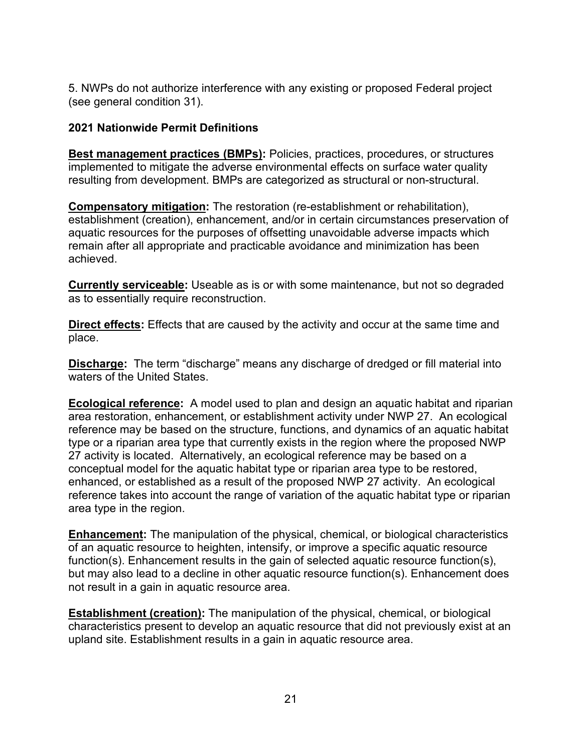5. NWPs do not authorize interference with any existing or proposed Federal project (see general condition 31).

## **2021 Nationwide Permit Definitions**

**Best management practices (BMPs):** Policies, practices, procedures, or structures implemented to mitigate the adverse environmental effects on surface water quality resulting from development. BMPs are categorized as structural or non-structural.

**Compensatory mitigation:** The restoration (re-establishment or rehabilitation), establishment (creation), enhancement, and/or in certain circumstances preservation of aquatic resources for the purposes of offsetting unavoidable adverse impacts which remain after all appropriate and practicable avoidance and minimization has been achieved.

**Currently serviceable:** Useable as is or with some maintenance, but not so degraded as to essentially require reconstruction.

**Direct effects:** Effects that are caused by the activity and occur at the same time and place.

**Discharge:** The term "discharge" means any discharge of dredged or fill material into waters of the United States.

**Ecological reference:** A model used to plan and design an aquatic habitat and riparian area restoration, enhancement, or establishment activity under NWP 27. An ecological reference may be based on the structure, functions, and dynamics of an aquatic habitat type or a riparian area type that currently exists in the region where the proposed NWP 27 activity is located. Alternatively, an ecological reference may be based on a conceptual model for the aquatic habitat type or riparian area type to be restored, enhanced, or established as a result of the proposed NWP 27 activity. An ecological reference takes into account the range of variation of the aquatic habitat type or riparian area type in the region.

**Enhancement:** The manipulation of the physical, chemical, or biological characteristics of an aquatic resource to heighten, intensify, or improve a specific aquatic resource function(s). Enhancement results in the gain of selected aquatic resource function(s), but may also lead to a decline in other aquatic resource function(s). Enhancement does not result in a gain in aquatic resource area.

**Establishment (creation):** The manipulation of the physical, chemical, or biological characteristics present to develop an aquatic resource that did not previously exist at an upland site. Establishment results in a gain in aquatic resource area.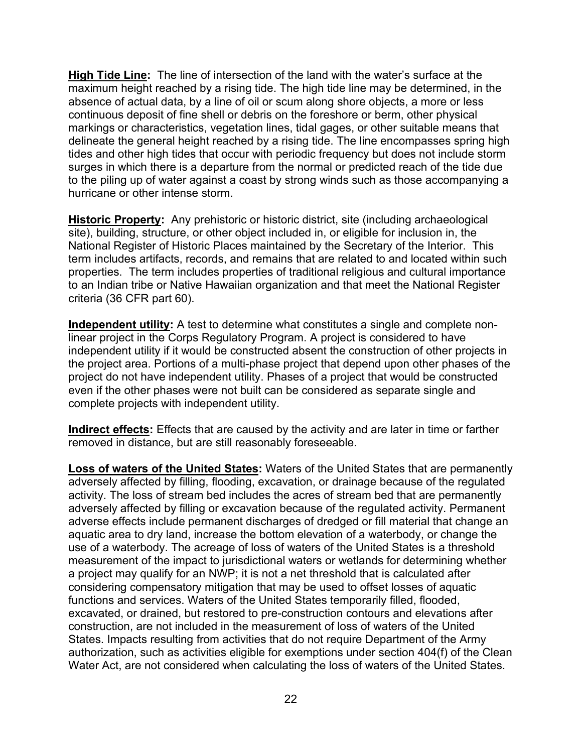**High Tide Line:** The line of intersection of the land with the water's surface at the maximum height reached by a rising tide. The high tide line may be determined, in the absence of actual data, by a line of oil or scum along shore objects, a more or less continuous deposit of fine shell or debris on the foreshore or berm, other physical markings or characteristics, vegetation lines, tidal gages, or other suitable means that delineate the general height reached by a rising tide. The line encompasses spring high tides and other high tides that occur with periodic frequency but does not include storm surges in which there is a departure from the normal or predicted reach of the tide due to the piling up of water against a coast by strong winds such as those accompanying a hurricane or other intense storm.

**Historic Property:** Any prehistoric or historic district, site (including archaeological site), building, structure, or other object included in, or eligible for inclusion in, the National Register of Historic Places maintained by the Secretary of the Interior. This term includes artifacts, records, and remains that are related to and located within such properties. The term includes properties of traditional religious and cultural importance to an Indian tribe or Native Hawaiian organization and that meet the National Register criteria (36 CFR part 60).

**Independent utility:** A test to determine what constitutes a single and complete nonlinear project in the Corps Regulatory Program. A project is considered to have independent utility if it would be constructed absent the construction of other projects in the project area. Portions of a multi-phase project that depend upon other phases of the project do not have independent utility. Phases of a project that would be constructed even if the other phases were not built can be considered as separate single and complete projects with independent utility.

**Indirect effects:** Effects that are caused by the activity and are later in time or farther removed in distance, but are still reasonably foreseeable.

**Loss of waters of the United States:** Waters of the United States that are permanently adversely affected by filling, flooding, excavation, or drainage because of the regulated activity. The loss of stream bed includes the acres of stream bed that are permanently adversely affected by filling or excavation because of the regulated activity. Permanent adverse effects include permanent discharges of dredged or fill material that change an aquatic area to dry land, increase the bottom elevation of a waterbody, or change the use of a waterbody. The acreage of loss of waters of the United States is a threshold measurement of the impact to jurisdictional waters or wetlands for determining whether a project may qualify for an NWP; it is not a net threshold that is calculated after considering compensatory mitigation that may be used to offset losses of aquatic functions and services. Waters of the United States temporarily filled, flooded, excavated, or drained, but restored to pre-construction contours and elevations after construction, are not included in the measurement of loss of waters of the United States. Impacts resulting from activities that do not require Department of the Army authorization, such as activities eligible for exemptions under section 404(f) of the Clean Water Act, are not considered when calculating the loss of waters of the United States.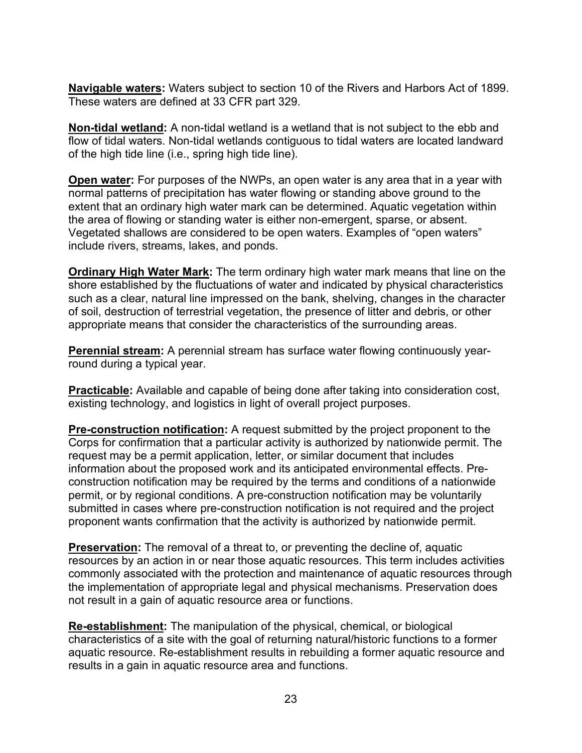**Navigable waters:** Waters subject to section 10 of the Rivers and Harbors Act of 1899. These waters are defined at 33 CFR part 329.

**Non-tidal wetland:** A non-tidal wetland is a wetland that is not subject to the ebb and flow of tidal waters. Non-tidal wetlands contiguous to tidal waters are located landward of the high tide line (i.e., spring high tide line).

**Open water:** For purposes of the NWPs, an open water is any area that in a year with normal patterns of precipitation has water flowing or standing above ground to the extent that an ordinary high water mark can be determined. Aquatic vegetation within the area of flowing or standing water is either non-emergent, sparse, or absent. Vegetated shallows are considered to be open waters. Examples of "open waters" include rivers, streams, lakes, and ponds.

**Ordinary High Water Mark:** The term ordinary high water mark means that line on the shore established by the fluctuations of water and indicated by physical characteristics such as a clear, natural line impressed on the bank, shelving, changes in the character of soil, destruction of terrestrial vegetation, the presence of litter and debris, or other appropriate means that consider the characteristics of the surrounding areas.

**Perennial stream:** A perennial stream has surface water flowing continuously yearround during a typical year.

**Practicable:** Available and capable of being done after taking into consideration cost, existing technology, and logistics in light of overall project purposes.

**Pre-construction notification:** A request submitted by the project proponent to the Corps for confirmation that a particular activity is authorized by nationwide permit. The request may be a permit application, letter, or similar document that includes information about the proposed work and its anticipated environmental effects. Preconstruction notification may be required by the terms and conditions of a nationwide permit, or by regional conditions. A pre-construction notification may be voluntarily submitted in cases where pre-construction notification is not required and the project proponent wants confirmation that the activity is authorized by nationwide permit.

**Preservation:** The removal of a threat to, or preventing the decline of, aquatic resources by an action in or near those aquatic resources. This term includes activities commonly associated with the protection and maintenance of aquatic resources through the implementation of appropriate legal and physical mechanisms. Preservation does not result in a gain of aquatic resource area or functions.

**Re-establishment:** The manipulation of the physical, chemical, or biological characteristics of a site with the goal of returning natural/historic functions to a former aquatic resource. Re-establishment results in rebuilding a former aquatic resource and results in a gain in aquatic resource area and functions.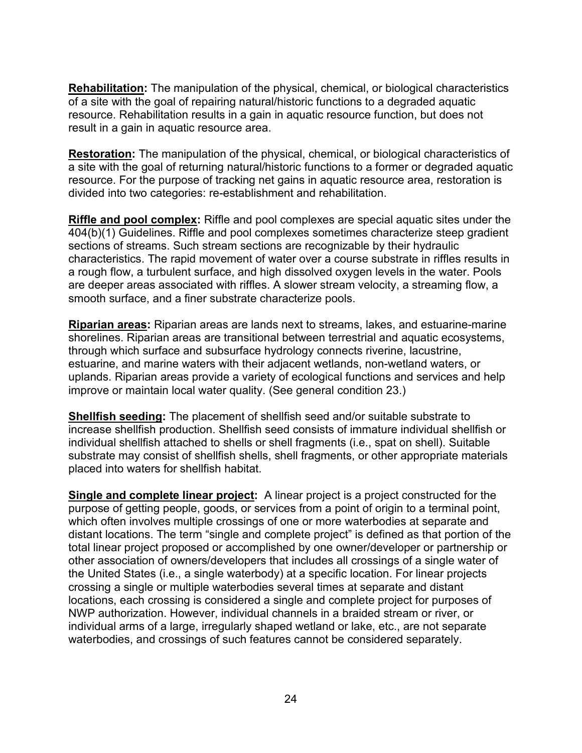**Rehabilitation:** The manipulation of the physical, chemical, or biological characteristics of a site with the goal of repairing natural/historic functions to a degraded aquatic resource. Rehabilitation results in a gain in aquatic resource function, but does not result in a gain in aquatic resource area.

**Restoration:** The manipulation of the physical, chemical, or biological characteristics of a site with the goal of returning natural/historic functions to a former or degraded aquatic resource. For the purpose of tracking net gains in aquatic resource area, restoration is divided into two categories: re-establishment and rehabilitation.

**Riffle and pool complex:** Riffle and pool complexes are special aquatic sites under the 404(b)(1) Guidelines. Riffle and pool complexes sometimes characterize steep gradient sections of streams. Such stream sections are recognizable by their hydraulic characteristics. The rapid movement of water over a course substrate in riffles results in a rough flow, a turbulent surface, and high dissolved oxygen levels in the water. Pools are deeper areas associated with riffles. A slower stream velocity, a streaming flow, a smooth surface, and a finer substrate characterize pools.

**Riparian areas:** Riparian areas are lands next to streams, lakes, and estuarine-marine shorelines. Riparian areas are transitional between terrestrial and aquatic ecosystems, through which surface and subsurface hydrology connects riverine, lacustrine, estuarine, and marine waters with their adjacent wetlands, non-wetland waters, or uplands. Riparian areas provide a variety of ecological functions and services and help improve or maintain local water quality. (See general condition 23.)

**Shellfish seeding:** The placement of shellfish seed and/or suitable substrate to increase shellfish production. Shellfish seed consists of immature individual shellfish or individual shellfish attached to shells or shell fragments (i.e., spat on shell). Suitable substrate may consist of shellfish shells, shell fragments, or other appropriate materials placed into waters for shellfish habitat.

**Single and complete linear project:** A linear project is a project constructed for the purpose of getting people, goods, or services from a point of origin to a terminal point, which often involves multiple crossings of one or more waterbodies at separate and distant locations. The term "single and complete project" is defined as that portion of the total linear project proposed or accomplished by one owner/developer or partnership or other association of owners/developers that includes all crossings of a single water of the United States (i.e., a single waterbody) at a specific location. For linear projects crossing a single or multiple waterbodies several times at separate and distant locations, each crossing is considered a single and complete project for purposes of NWP authorization. However, individual channels in a braided stream or river, or individual arms of a large, irregularly shaped wetland or lake, etc., are not separate waterbodies, and crossings of such features cannot be considered separately.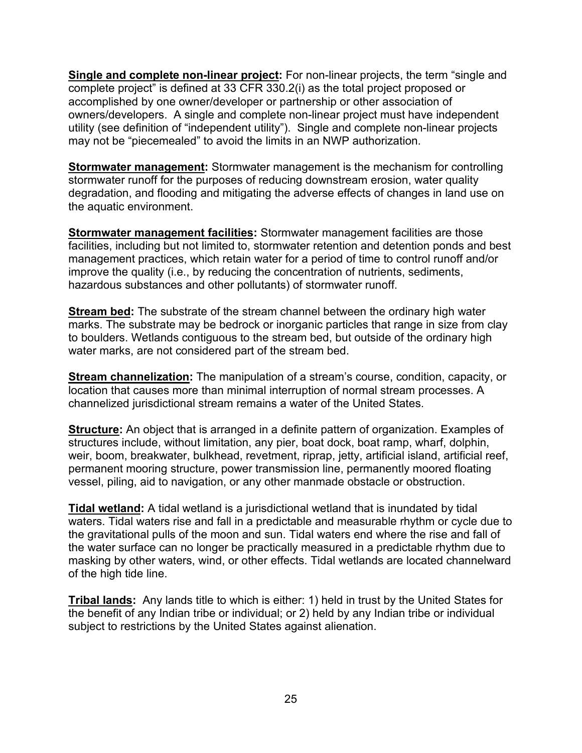**Single and complete non-linear project:** For non-linear projects, the term "single and complete project" is defined at 33 CFR 330.2(i) as the total project proposed or accomplished by one owner/developer or partnership or other association of owners/developers. A single and complete non-linear project must have independent utility (see definition of "independent utility"). Single and complete non-linear projects may not be "piecemealed" to avoid the limits in an NWP authorization.

**Stormwater management:** Stormwater management is the mechanism for controlling stormwater runoff for the purposes of reducing downstream erosion, water quality degradation, and flooding and mitigating the adverse effects of changes in land use on the aquatic environment.

**Stormwater management facilities:** Stormwater management facilities are those facilities, including but not limited to, stormwater retention and detention ponds and best management practices, which retain water for a period of time to control runoff and/or improve the quality (i.e., by reducing the concentration of nutrients, sediments, hazardous substances and other pollutants) of stormwater runoff.

**Stream bed:** The substrate of the stream channel between the ordinary high water marks. The substrate may be bedrock or inorganic particles that range in size from clay to boulders. Wetlands contiguous to the stream bed, but outside of the ordinary high water marks, are not considered part of the stream bed.

**Stream channelization:** The manipulation of a stream's course, condition, capacity, or location that causes more than minimal interruption of normal stream processes. A channelized jurisdictional stream remains a water of the United States.

**Structure:** An object that is arranged in a definite pattern of organization. Examples of structures include, without limitation, any pier, boat dock, boat ramp, wharf, dolphin, weir, boom, breakwater, bulkhead, revetment, riprap, jetty, artificial island, artificial reef, permanent mooring structure, power transmission line, permanently moored floating vessel, piling, aid to navigation, or any other manmade obstacle or obstruction.

**Tidal wetland:** A tidal wetland is a jurisdictional wetland that is inundated by tidal waters. Tidal waters rise and fall in a predictable and measurable rhythm or cycle due to the gravitational pulls of the moon and sun. Tidal waters end where the rise and fall of the water surface can no longer be practically measured in a predictable rhythm due to masking by other waters, wind, or other effects. Tidal wetlands are located channelward of the high tide line.

**Tribal lands:** Any lands title to which is either: 1) held in trust by the United States for the benefit of any Indian tribe or individual; or 2) held by any Indian tribe or individual subject to restrictions by the United States against alienation.